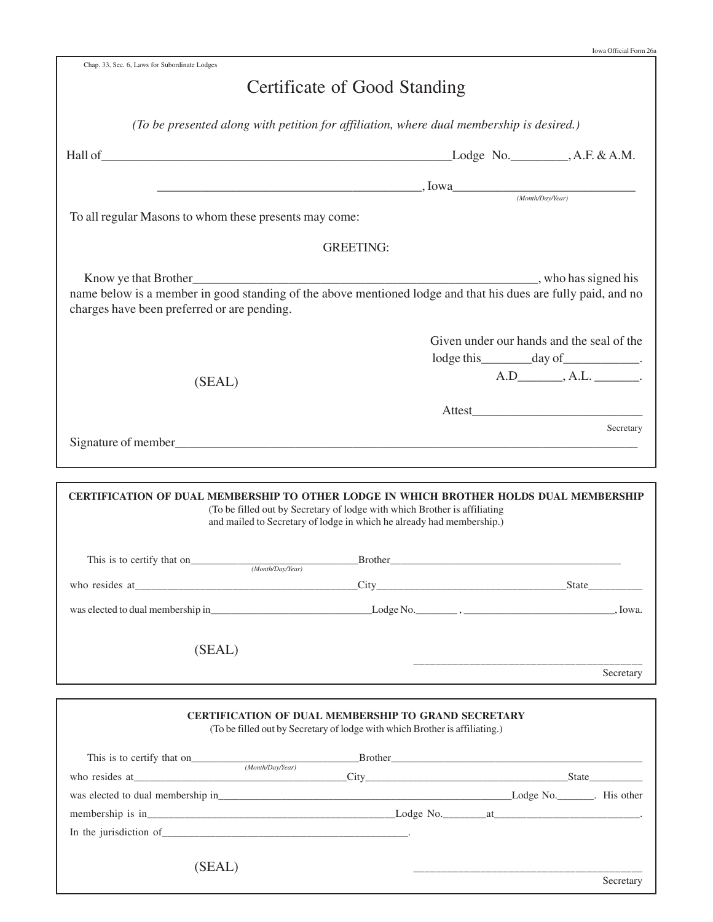| Chap. 33, Sec. 6, Laws for Subordinate Lodges                                                                                                                |                                                                                                                                                    |                                                                                          |           |
|--------------------------------------------------------------------------------------------------------------------------------------------------------------|----------------------------------------------------------------------------------------------------------------------------------------------------|------------------------------------------------------------------------------------------|-----------|
|                                                                                                                                                              | Certificate of Good Standing                                                                                                                       |                                                                                          |           |
|                                                                                                                                                              | (To be presented along with petition for affiliation, where dual membership is desired.)                                                           |                                                                                          |           |
|                                                                                                                                                              |                                                                                                                                                    |                                                                                          |           |
|                                                                                                                                                              | $I_{\text{OWa}}$ , $I_{\text{OWa}}$ ( <i>Month/Day/Year</i> )                                                                                      |                                                                                          |           |
| To all regular Masons to whom these presents may come:                                                                                                       |                                                                                                                                                    |                                                                                          |           |
|                                                                                                                                                              | <b>GREETING:</b>                                                                                                                                   |                                                                                          |           |
|                                                                                                                                                              |                                                                                                                                                    |                                                                                          |           |
| name below is a member in good standing of the above mentioned lodge and that his dues are fully paid, and no<br>charges have been preferred or are pending. |                                                                                                                                                    |                                                                                          |           |
|                                                                                                                                                              |                                                                                                                                                    | Given under our hands and the seal of the<br>lodge this __________ day of _____________. |           |
| (SEAL)                                                                                                                                                       |                                                                                                                                                    | $A.D$ $, A.L.$ $$                                                                        |           |
|                                                                                                                                                              |                                                                                                                                                    |                                                                                          |           |
|                                                                                                                                                              |                                                                                                                                                    |                                                                                          | Secretary |
| CERTIFICATION OF DUAL MEMBERSHIP TO OTHER LODGE IN WHICH BROTHER HOLDS DUAL MEMBERSHIP                                                                       | (To be filled out by Secretary of lodge with which Brother is affiliating<br>and mailed to Secretary of lodge in which he already had membership.) |                                                                                          |           |
| This is to certify that on<br>$(Month/Day/Year)$                                                                                                             |                                                                                                                                                    |                                                                                          |           |
|                                                                                                                                                              |                                                                                                                                                    |                                                                                          |           |
| (SEAL)                                                                                                                                                       |                                                                                                                                                    |                                                                                          |           |
|                                                                                                                                                              |                                                                                                                                                    | _________________________________                                                        | Secretary |
|                                                                                                                                                              | <b>CERTIFICATION OF DUAL MEMBERSHIP TO GRAND SECRETARY</b><br>(To be filled out by Secretary of lodge with which Brother is affiliating.)          |                                                                                          |           |
|                                                                                                                                                              |                                                                                                                                                    |                                                                                          |           |
| This is to certify that on $\frac{\text{Brother}}{\text{(MonthlyDay/Year)}}$                                                                                 |                                                                                                                                                    |                                                                                          |           |
|                                                                                                                                                              |                                                                                                                                                    |                                                                                          |           |
|                                                                                                                                                              |                                                                                                                                                    |                                                                                          |           |

(SEAL)

Secretary

\_\_\_\_\_\_\_\_\_\_\_\_\_\_\_\_\_\_\_\_\_\_\_\_\_\_\_\_\_\_\_\_\_\_\_\_\_\_\_\_\_